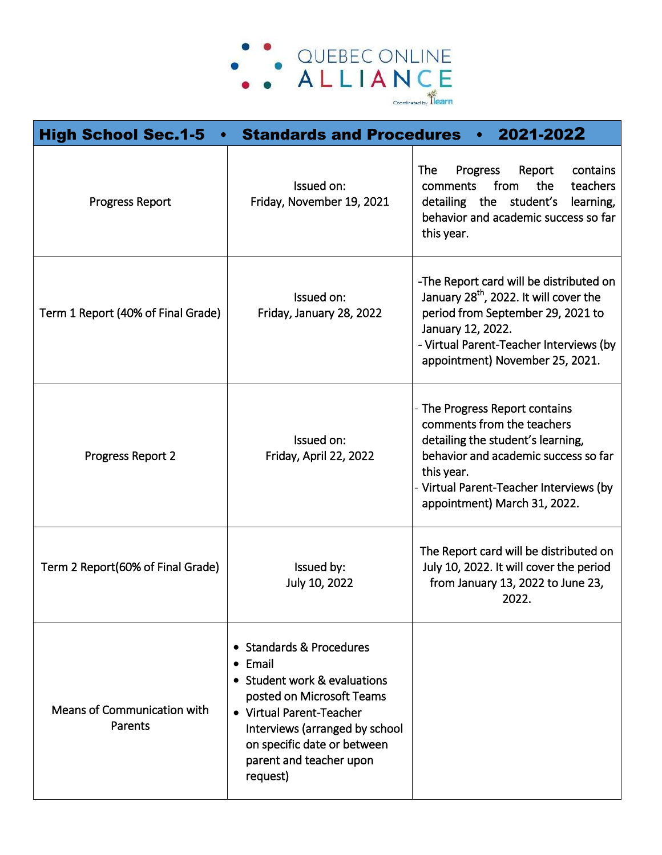

| <b>High School Sec.1-5</b>             | <b>Standards and Procedures</b>                                                                                                                                                                                                              | 2021-2022                                                                                                                                                                                                                             |
|----------------------------------------|----------------------------------------------------------------------------------------------------------------------------------------------------------------------------------------------------------------------------------------------|---------------------------------------------------------------------------------------------------------------------------------------------------------------------------------------------------------------------------------------|
| <b>Progress Report</b>                 | Issued on:<br>Friday, November 19, 2021                                                                                                                                                                                                      | The<br>Progress<br>Report<br>contains<br>the<br>teachers<br>from<br>comments<br>the<br>student's<br>detailing<br>learning,<br>behavior and academic success so far<br>this year.                                                      |
| Term 1 Report (40% of Final Grade)     | Issued on:<br>Friday, January 28, 2022                                                                                                                                                                                                       | -The Report card will be distributed on<br>January 28 <sup>th</sup> , 2022. It will cover the<br>period from September 29, 2021 to<br>January 12, 2022.<br>- Virtual Parent-Teacher Interviews (by<br>appointment) November 25, 2021. |
| Progress Report 2                      | Issued on:<br>Friday, April 22, 2022                                                                                                                                                                                                         | - The Progress Report contains<br>comments from the teachers<br>detailing the student's learning,<br>behavior and academic success so far<br>this year.<br>Virtual Parent-Teacher Interviews (by<br>appointment) March 31, 2022.      |
| Term 2 Report(60% of Final Grade)      | Issued by:<br>July 10, 2022                                                                                                                                                                                                                  | The Report card will be distributed on<br>July 10, 2022. It will cover the period<br>from January 13, 2022 to June 23,<br>2022.                                                                                                       |
| Means of Communication with<br>Parents | • Standards & Procedures<br>$\bullet$ Email<br>• Student work & evaluations<br>posted on Microsoft Teams<br>• Virtual Parent-Teacher<br>Interviews (arranged by school<br>on specific date or between<br>parent and teacher upon<br>request) |                                                                                                                                                                                                                                       |